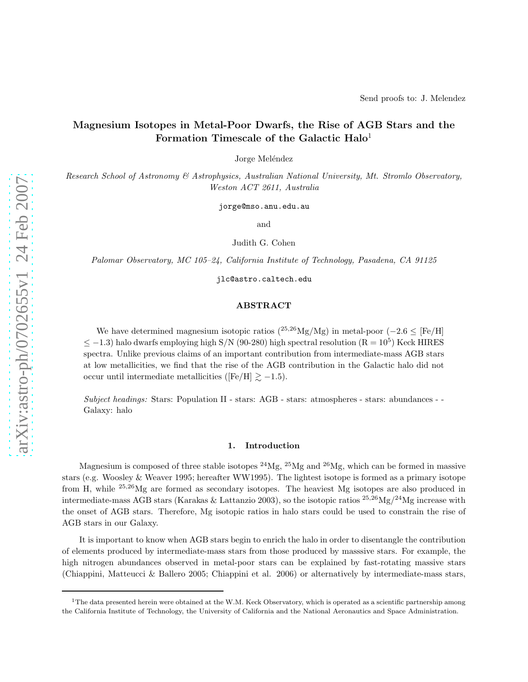# Magnesium Isotopes in Metal-Poor Dwarfs, the Rise of AGB Stars and the Formation Timescale of the Galactic Halo<sup>1</sup>

Jorge Meléndez

*Research School of Astronomy & Astrophysics, Australian National University, Mt. Stromlo Observatory, Weston ACT 2611, Australia*

jorge@mso.anu.edu.au

and

Judith G. Cohen

*Palomar Observatory, MC 105–24, California Institute of Technology, Pasadena, CA 91125*

jlc@astro.caltech.edu

# ABSTRACT

We have determined magnesium isotopic ratios  $(^{25,26}Mg/Mg)$  in metal-poor  $(-2.6 \leq [Fe/H])$  $\leq$  -1.3) halo dwarfs employing high S/N (90-280) high spectral resolution (R = 10<sup>5</sup>) Keck HIRES spectra. Unlike previous claims of an important contribution from intermediate-mass AGB stars at low metallicities, we find that the rise of the AGB contribution in the Galactic halo did not occur until intermediate metallicities ([Fe/H]  $\gtrsim -1.5$ ).

*Subject headings:* Stars: Population II - stars: AGB - stars: atmospheres - stars: abundances - - Galaxy: halo

## 1. Introduction

Magnesium is composed of three stable isotopes  $^{24}Mg$ ,  $^{25}Mg$  and  $^{26}Mg$ , which can be formed in massive stars (e.g. Woosley & Weaver 1995; hereafter WW1995). The lightest isotope is formed as a primary isotope from H, while <sup>25</sup>,<sup>26</sup>Mg are formed as secondary isotopes. The heaviest Mg isotopes are also produced in intermediate-mass AGB stars (Karakas & Lattanzio 2003), so the isotopic ratios  $^{25,26}Mg/^{24}Mg$  increase with the onset of AGB stars. Therefore, Mg isotopic ratios in halo stars could be used to constrain the rise of AGB stars in our Galaxy.

It is important to know when AGB stars begin to enrich the halo in order to disentangle the contribution of elements produced by intermediate-mass stars from those produced by masssive stars. For example, the high nitrogen abundances observed in metal-poor stars can be explained by fast-rotating massive stars (Chiappini, Matteucci & Ballero 2005; Chiappini et al. 2006) or alternatively by intermediate-mass stars,

<sup>&</sup>lt;sup>1</sup>The data presented herein were obtained at the W.M. Keck Observatory, which is operated as a scientific partnership among the California Institute of Technology, the University of California and the National Aeronautics and Space Administration.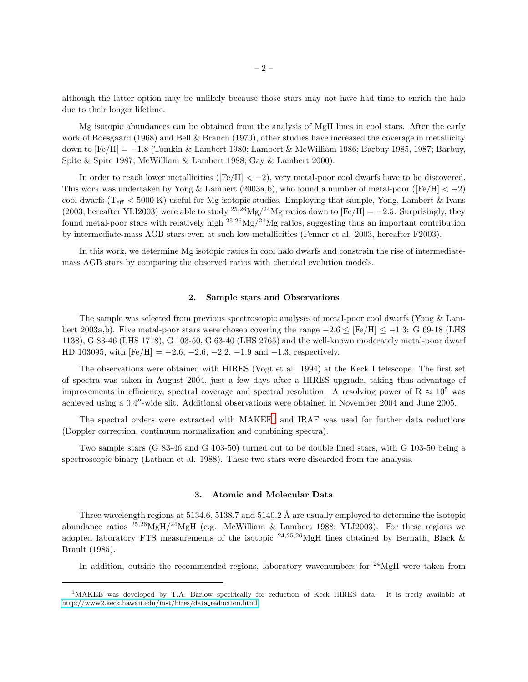although the latter option may be unlikely because those stars may not have had time to enrich the halo due to their longer lifetime.

Mg isotopic abundances can be obtained from the analysis of MgH lines in cool stars. After the early work of Boesgaard (1968) and Bell & Branch (1970), other studies have increased the coverage in metallicity down to [Fe/H] = −1.8 (Tomkin & Lambert 1980; Lambert & McWilliam 1986; Barbuy 1985, 1987; Barbuy, Spite & Spite 1987; McWilliam & Lambert 1988; Gay & Lambert 2000).

In order to reach lower metallicities ( $[Fe/H] < -2$ ), very metal-poor cool dwarfs have to be discovered. This work was undertaken by Yong & Lambert (2003a,b), who found a number of metal-poor ([Fe/H]  $<-2$ ) cool dwarfs ( $T_{\text{eff}}$  < 5000 K) useful for Mg isotopic studies. Employing that sample, Yong, Lambert & Ivans (2003, hereafter YLI2003) were able to study <sup>25,26</sup>Mg/<sup>24</sup>Mg ratios down to [Fe/H] = -2.5. Surprisingly, they found metal-poor stars with relatively high  $^{25,26}Mg/^{24}Mg$  ratios, suggesting thus an important contribution by intermediate-mass AGB stars even at such low metallicities (Fenner et al. 2003, hereafter F2003).

In this work, we determine Mg isotopic ratios in cool halo dwarfs and constrain the rise of intermediatemass AGB stars by comparing the observed ratios with chemical evolution models.

## 2. Sample stars and Observations

The sample was selected from previous spectroscopic analyses of metal-poor cool dwarfs (Yong & Lambert 2003a,b). Five metal-poor stars were chosen covering the range  $-2.6 \leq$  [Fe/H]  $\leq -1.3$ : G 69-18 (LHS 1138), G 83-46 (LHS 1718), G 103-50, G 63-40 (LHS 2765) and the well-known moderately metal-poor dwarf HD 103095, with  $[Fe/H] = -2.6, -2.6, -2.2, -1.9, \text{and } -1.3$ , respectively.

The observations were obtained with HIRES (Vogt et al. 1994) at the Keck I telescope. The first set of spectra was taken in August 2004, just a few days after a HIRES upgrade, taking thus advantage of improvements in efficiency, spectral coverage and spectral resolution. A resolving power of R  $\approx 10^5$  was achieved using a 0.4′′-wide slit. Additional observations were obtained in November 2004 and June 2005.

The spectral orders were extracted with MAKEE[1](#page-1-0) and IRAF was used for further data reductions (Doppler correction, continuum normalization and combining spectra).

Two sample stars (G 83-46 and G 103-50) turned out to be double lined stars, with G 103-50 being a spectroscopic binary (Latham et al. 1988). These two stars were discarded from the analysis.

## 3. Atomic and Molecular Data

Three wavelength regions at  $5134.6$ ,  $5138.7$  and  $5140.2$  Å are usually employed to determine the isotopic abundance ratios  $^{25,26}MgH/^{24}MgH$  (e.g. McWilliam & Lambert 1988; YLI2003). For these regions we adopted laboratory FTS measurements of the isotopic  $^{24,25,26}$ MgH lines obtained by Bernath, Black & Brault (1985).

In addition, outside the recommended regions, laboratory wavenumbers for  $^{24}$ MgH were taken from

<span id="page-1-0"></span><sup>&</sup>lt;sup>1</sup>MAKEE was developed by T.A. Barlow specifically for reduction of Keck HIRES data. It is freely available at [http://www2.keck.hawaii.edu/inst/hires/data](http://www2.keck.hawaii.edu/inst/hires/data_reduction.html) reduction.html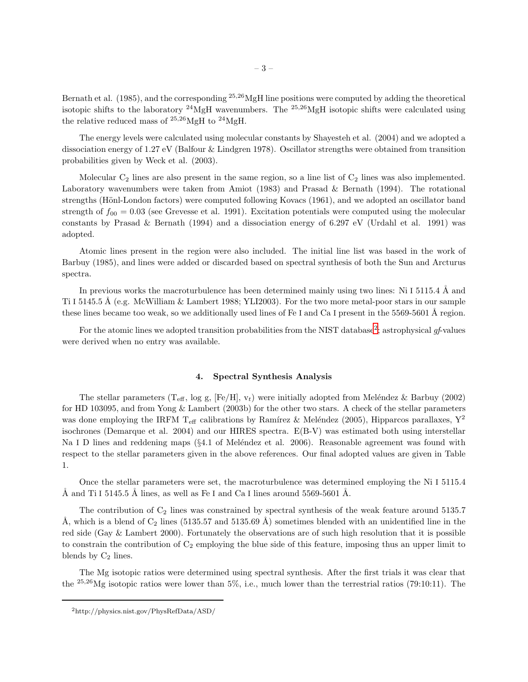Bernath et al. (1985), and the corresponding  $25,26$  MgH line positions were computed by adding the theoretical isotopic shifts to the laboratory  $^{24}$ MgH wavenumbers. The  $^{25,26}$ MgH isotopic shifts were calculated using the relative reduced mass of  $^{25,26}$ MgH to  $^{24}$ MgH.

The energy levels were calculated using molecular constants by Shayesteh et al. (2004) and we adopted a dissociation energy of 1.27 eV (Balfour & Lindgren 1978). Oscillator strengths were obtained from transition probabilities given by Weck et al. (2003).

Molecular  $C_2$  lines are also present in the same region, so a line list of  $C_2$  lines was also implemented. Laboratory wavenumbers were taken from Amiot (1983) and Prasad & Bernath (1994). The rotational strengths (Hönl-London factors) were computed following Kovacs (1961), and we adopted an oscillator band strength of  $f_{00} = 0.03$  (see Grevesse et al. 1991). Excitation potentials were computed using the molecular constants by Prasad & Bernath (1994) and a dissociation energy of 6.297 eV (Urdahl et al. 1991) was adopted.

Atomic lines present in the region were also included. The initial line list was based in the work of Barbuy (1985), and lines were added or discarded based on spectral synthesis of both the Sun and Arcturus spectra.

In previous works the macroturbulence has been determined mainly using two lines: Ni I 5115.4  $\AA$  and Ti I 5145.5 Å (e.g. McWilliam & Lambert 1988; YLI2003). For the two more metal-poor stars in our sample these lines became too weak, so we additionally used lines of Fe I and Ca I present in the  $5569-5601$  Å region.

For the atomic lines we adopted transition probabilities from the NIST database<sup>[2](#page-2-0)</sup>; astrophysical gf-values were derived when no entry was available.

### 4. Spectral Synthesis Analysis

The stellar parameters (T<sub>eff</sub>, log g, [Fe/H],  $v_t$ ) were initially adopted from Meléndez & Barbuy (2002) for HD 103095, and from Yong & Lambert (2003b) for the other two stars. A check of the stellar parameters was done employing the IRFM T<sub>eff</sub> calibrations by Ramírez & Meléndez (2005), Hipparcos parallaxes,  $Y^2$ isochrones (Demarque et al. 2004) and our HIRES spectra. E(B-V) was estimated both using interstellar Na I D lines and reddening maps ( $\S 4.1$  of Meléndez et al. 2006). Reasonable agreement was found with respect to the stellar parameters given in the above references. Our final adopted values are given in Table 1.

Once the stellar parameters were set, the macroturbulence was determined employing the Ni I 5115.4 Å and Ti I 5145.5 Å lines, as well as Fe I and Ca I lines around 5569-5601 Å.

The contribution of  $C_2$  lines was constrained by spectral synthesis of the weak feature around 5135.7 Å, which is a blend of  $C_2$  lines (5135.57 and 5135.69 Å) sometimes blended with an unidentified line in the red side (Gay & Lambert 2000). Fortunately the observations are of such high resolution that it is possible to constrain the contribution of  $C_2$  employing the blue side of this feature, imposing thus an upper limit to blends by  $C_2$  lines.

The Mg isotopic ratios were determined using spectral synthesis. After the first trials it was clear that the <sup>25</sup>,26Mg isotopic ratios were lower than 5%, i.e., much lower than the terrestrial ratios (79:10:11). The

<span id="page-2-0"></span><sup>2</sup>http://physics.nist.gov/PhysRefData/ASD/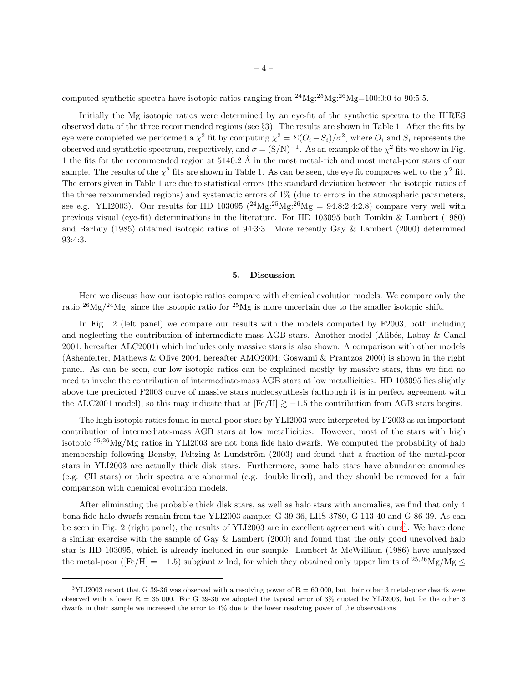computed synthetic spectra have isotopic ratios ranging from  $^{24}Mg:^{25}Mg:^{26}Mg=100:0:0$  to 90:5:5.

Initially the Mg isotopic ratios were determined by an eye-fit of the synthetic spectra to the HIRES observed data of the three recommended regions (see §3). The results are shown in Table 1. After the fits by eye were completed we performed a  $\chi^2$  fit by computing  $\chi^2 = \Sigma (O_i - S_i)/\sigma^2$ , where  $O_i$  and  $S_i$  represents the observed and synthetic spectrum, respectively, and  $\sigma = (S/N)^{-1}$ . As an example of the  $\chi^2$  fits we show in Fig. 1 the fits for the recommended region at  $5140.2 \text{ Å}$  in the most metal-rich and most metal-poor stars of our sample. The results of the  $\chi^2$  fits are shown in Table 1. As can be seen, the eye fit compares well to the  $\chi^2$  fit. The errors given in Table 1 are due to statistical errors (the standard deviation between the isotopic ratios of the three recommended regions) and systematic errors of 1% (due to errors in the atmospheric parameters, see e.g. YLI2003). Our results for HD 103095  $(^{24}Mg;^{25}Mg;^{26}Mg = 94.8:2.4:2.8)$  compare very well with previous visual (eye-fit) determinations in the literature. For HD 103095 both Tomkin & Lambert (1980) and Barbuy (1985) obtained isotopic ratios of 94:3:3. More recently Gay & Lambert (2000) determined 93:4:3.

## 5. Discussion

Here we discuss how our isotopic ratios compare with chemical evolution models. We compare only the ratio  $^{26}Mg/^{24}Mg$ , since the isotopic ratio for  $^{25}Mg$  is more uncertain due to the smaller isotopic shift.

In Fig. 2 (left panel) we compare our results with the models computed by F2003, both including and neglecting the contribution of intermediate-mass AGB stars. Another model (Alibés, Labay & Canal 2001, hereafter ALC2001) which includes only massive stars is also shown. A comparison with other models (Ashenfelter, Mathews & Olive 2004, hereafter AMO2004; Goswami & Prantzos 2000) is shown in the right panel. As can be seen, our low isotopic ratios can be explained mostly by massive stars, thus we find no need to invoke the contribution of intermediate-mass AGB stars at low metallicities. HD 103095 lies slightly above the predicted F2003 curve of massive stars nucleosynthesis (although it is in perfect agreement with the ALC2001 model), so this may indicate that at  $[Fe/H] \gtrsim -1.5$  the contribution from AGB stars begins.

The high isotopic ratios found in metal-poor stars by YLI2003 were interpreted by F2003 as an important contribution of intermediate-mass AGB stars at low metallicities. However, most of the stars with high isotopic <sup>25</sup>,<sup>26</sup>Mg/Mg ratios in YLI2003 are not bona fide halo dwarfs. We computed the probability of halo membership following Bensby, Feltzing & Lundström  $(2003)$  and found that a fraction of the metal-poor stars in YLI2003 are actually thick disk stars. Furthermore, some halo stars have abundance anomalies (e.g. CH stars) or their spectra are abnormal (e.g. double lined), and they should be removed for a fair comparison with chemical evolution models.

After eliminating the probable thick disk stars, as well as halo stars with anomalies, we find that only 4 bona fide halo dwarfs remain from the YLI2003 sample: G 39-36, LHS 3780, G 113-40 and G 86-39. As can be seen in Fig. 2 (right panel), the results of YLI200[3](#page-3-0) are in excellent agreement with ours<sup>3</sup>. We have done a similar exercise with the sample of Gay & Lambert (2000) and found that the only good unevolved halo star is HD 103095, which is already included in our sample. Lambert & McWilliam (1986) have analyzed the metal-poor ([Fe/H] = -1.5) subgiant  $\nu$  Ind, for which they obtained only upper limits of  $^{25,26}$ Mg/Mg  $<$ 

<span id="page-3-0"></span> $3YL12003$  report that G 39-36 was observed with a resolving power of  $R = 60000$ , but their other 3 metal-poor dwarfs were observed with a lower  $R = 35000$ . For G 39-36 we adopted the typical error of 3% quoted by YLI2003, but for the other 3 dwarfs in their sample we increased the error to 4% due to the lower resolving power of the observations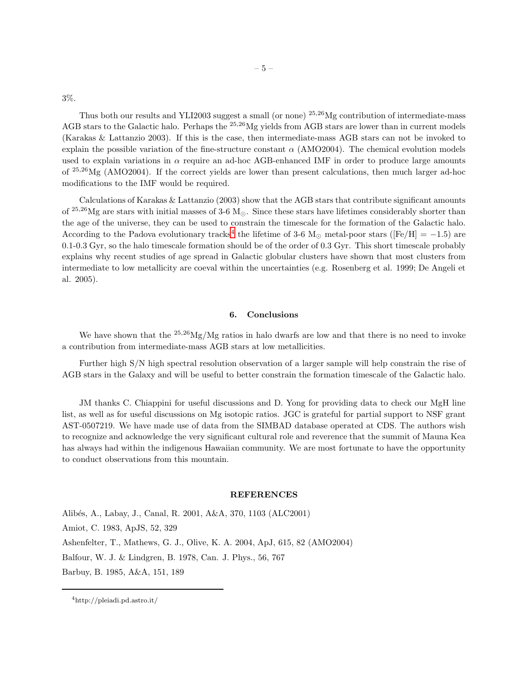3%.

Thus both our results and YLI2003 suggest a small (or none) <sup>25,26</sup>Mg contribution of intermediate-mass AGB stars to the Galactic halo. Perhaps the <sup>25,26</sup>Mg yields from AGB stars are lower than in current models (Karakas & Lattanzio 2003). If this is the case, then intermediate-mass AGB stars can not be invoked to explain the possible variation of the fine-structure constant  $\alpha$  (AMO2004). The chemical evolution models used to explain variations in  $\alpha$  require an ad-hoc AGB-enhanced IMF in order to produce large amounts of <sup>25</sup>,<sup>26</sup>Mg (AMO2004). If the correct yields are lower than present calculations, then much larger ad-hoc modifications to the IMF would be required.

Calculations of Karakas & Lattanzio (2003) show that the AGB stars that contribute significant amounts of <sup>25,26</sup>Mg are stars with initial masses of 3-6 M<sub> $\odot$ </sub>. Since these stars have lifetimes considerably shorter than the age of the universe, they can be used to constrain the timescale for the formation of the Galactic halo. According to the Padova evolutionary tracks<sup>[4](#page-5-0)</sup> the lifetime of 3-6 M<sub>☉</sub> metal-poor stars ([Fe/H] = -1.5) are 0.1-0.3 Gyr, so the halo timescale formation should be of the order of 0.3 Gyr. This short timescale probably explains why recent studies of age spread in Galactic globular clusters have shown that most clusters from intermediate to low metallicity are coeval within the uncertainties (e.g. Rosenberg et al. 1999; De Angeli et al. 2005).

## 6. Conclusions

We have shown that the  $^{25,26}Mg/Mg$  ratios in halo dwarfs are low and that there is no need to invoke a contribution from intermediate-mass AGB stars at low metallicities.

Further high S/N high spectral resolution observation of a larger sample will help constrain the rise of AGB stars in the Galaxy and will be useful to better constrain the formation timescale of the Galactic halo.

JM thanks C. Chiappini for useful discussions and D. Yong for providing data to check our MgH line list, as well as for useful discussions on Mg isotopic ratios. JGC is grateful for partial support to NSF grant AST-0507219. We have made use of data from the SIMBAD database operated at CDS. The authors wish to recognize and acknowledge the very significant cultural role and reverence that the summit of Mauna Kea has always had within the indigenous Hawaiian community. We are most fortunate to have the opportunity to conduct observations from this mountain.

### **REFERENCES**

Alib´es, A., Labay, J., Canal, R. 2001, A&A, 370, 1103 (ALC2001) Amiot, C. 1983, ApJS, 52, 329 Ashenfelter, T., Mathews, G. J., Olive, K. A. 2004, ApJ, 615, 82 (AMO2004) Balfour, W. J. & Lindgren, B. 1978, Can. J. Phys., 56, 767 Barbuy, B. 1985, A&A, 151, 189

<sup>4</sup>http://pleiadi.pd.astro.it/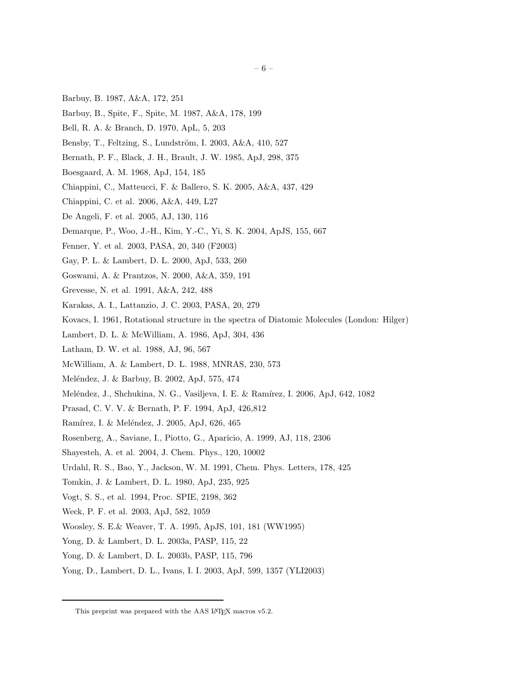- Barbuy, B. 1987, A&A, 172, 251
- Barbuy, B., Spite, F., Spite, M. 1987, A&A, 178, 199
- Bell, R. A. & Branch, D. 1970, ApL, 5, 203
- Bensby, T., Feltzing, S., Lundström, I. 2003, A&A, 410, 527
- Bernath, P. F., Black, J. H., Brault, J. W. 1985, ApJ, 298, 375
- Boesgaard, A. M. 1968, ApJ, 154, 185
- Chiappini, C., Matteucci, F. & Ballero, S. K. 2005, A&A, 437, 429
- Chiappini, C. et al. 2006, A&A, 449, L27
- De Angeli, F. et al. 2005, AJ, 130, 116
- Demarque, P., Woo, J.-H., Kim, Y.-C., Yi, S. K. 2004, ApJS, 155, 667
- Fenner, Y. et al. 2003, PASA, 20, 340 (F2003)
- Gay, P. L. & Lambert, D. L. 2000, ApJ, 533, 260
- Goswami, A. & Prantzos, N. 2000, A&A, 359, 191
- Grevesse, N. et al. 1991, A&A, 242, 488
- Karakas, A. I., Lattanzio, J. C. 2003, PASA, 20, 279
- Kovacs, I. 1961, Rotational structure in the spectra of Diatomic Molecules (London: Hilger)
- Lambert, D. L. & McWilliam, A. 1986, ApJ, 304, 436
- Latham, D. W. et al. 1988, AJ, 96, 567
- McWilliam, A. & Lambert, D. L. 1988, MNRAS, 230, 573
- Meléndez, J. & Barbuy, B. 2002, ApJ, 575, 474
- Meléndez, J., Shchukina, N. G., Vasiljeva, I. E. & Ramírez, I. 2006, ApJ, 642, 1082
- Prasad, C. V. V. & Bernath, P. F. 1994, ApJ, 426,812
- Ramírez, I. & Meléndez, J. 2005, ApJ, 626, 465
- Rosenberg, A., Saviane, I., Piotto, G., Aparicio, A. 1999, AJ, 118, 2306
- Shayesteh, A. et al. 2004, J. Chem. Phys., 120, 10002
- Urdahl, R. S., Bao, Y., Jackson, W. M. 1991, Chem. Phys. Letters, 178, 425
- Tomkin, J. & Lambert, D. L. 1980, ApJ, 235, 925
- Vogt, S. S., et al. 1994, Proc. SPIE, 2198, 362
- Weck, P. F. et al. 2003, ApJ, 582, 1059
- Woosley, S. E.& Weaver, T. A. 1995, ApJS, 101, 181 (WW1995)
- Yong, D. & Lambert, D. L. 2003a, PASP, 115, 22
- Yong, D. & Lambert, D. L. 2003b, PASP, 115, 796
- Yong, D., Lambert, D. L., Ivans, I. I. 2003, ApJ, 599, 1357 (YLI2003)

<span id="page-5-0"></span>This preprint was prepared with the AAS LAT<sub>E</sub>X macros v5.2.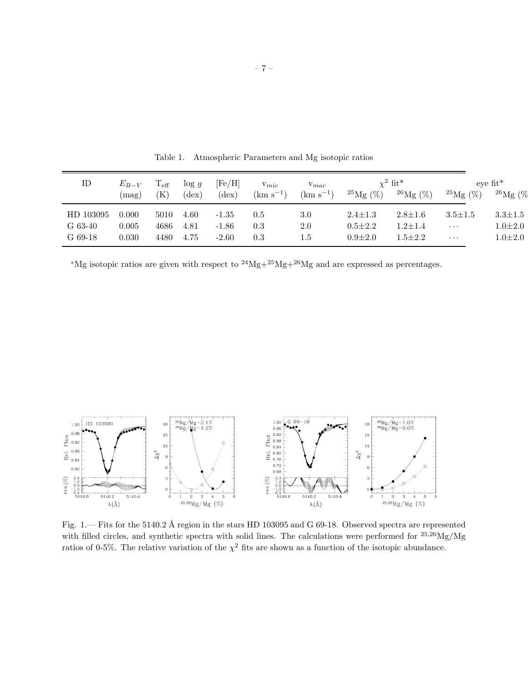| ID        | $E_{B-V}$<br>(mag) | $\rm T_{eff}$<br>Έ | $\log g$<br>$(\text{dex})$ | [Fe/H]<br>$(\text{dex})$ | $V_{mic}$<br>$(km s^{-1})$ | $v_{mac}$<br>$(km s^{-1})$ | $^{25}$ Mg $(\%)$ | $\chi^2$ fit*<br>$^{26}$ Mg $(\%)$ | $^{25}$ Mg $(\%)$ | $e$ ve fit <sup>*</sup><br>$^{26}$ Mg (% |
|-----------|--------------------|--------------------|----------------------------|--------------------------|----------------------------|----------------------------|-------------------|------------------------------------|-------------------|------------------------------------------|
| HD 103095 | 0.000              | 5010               | 4.60                       | $-1.35$                  | 0.5                        | $3.0\,$                    | $2.4 \pm 1.3$     | $2.8 \pm 1.6$                      | $3.5 \pm 1.5$     | $3.3 \pm 1.5$                            |
| G 63-40   | 0.005              | 4686               | 4.81                       | $-1.86$                  | 0.3                        | 2.0                        | $0.5 \pm 2.2$     | $1.2 \pm 1.4$                      | $\cdots$          | $1.0 \pm 2.0$                            |
| $G$ 69-18 | 0.030              | 4480               | 4.75                       | $-2.60$                  | 0.3                        | $1.5\,$                    | $0.9 + 2.0$       | $1.5 \pm 2.2$                      | $\cdots$          | $1.0 \pm 2.0$                            |

Table 1. Atmospheric Parameters and Mg isotopic ratios

 $^*{\rm Mg}$  isotopic ratios are given with respect to  $^{24}{\rm Mg}+^{25}{\rm Mg}+^{26}{\rm Mg}$  and are expressed as percentages.



Fig. 1.— Fits for the 5140.2 Å region in the stars HD 103095 and G 69-18. Observed spectra are represented with filled circles, and synthetic spectra with solid lines. The calculations were performed for  $^{25,26}Mg/Mg$ ratios of 0-5%. The relative variation of the  $\chi^2$  fits are shown as a function of the isotopic abundance.